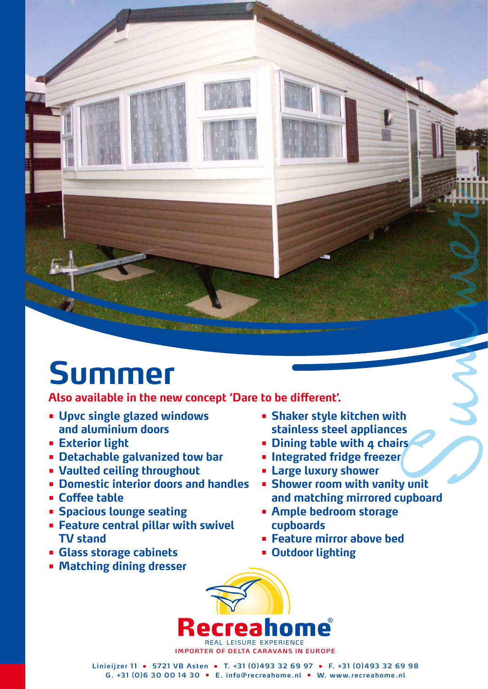## **Summer**

**Also available in the new concept 'Dare to be different'.**

- **• Upvc single glazed windows and aluminium doors**
- **• Exterior light**
- **• Detachable galvanized tow bar**
- **• Vaulted ceiling throughout**
- **• Domestic interior doors and handles**
- **• Coffee table**
- **• Spacious lounge seating**
- **• Feature central pillar with swivel TV stand**
- **• Glass storage cabinets**
- **• Matching dining dresser**
- **• Shaker style kitchen with stainless steel appliances**
- **• Dining table with 4 chairs**
- **• Integrated fridge freezer**
- **• Large luxury shower**
- Summer **• Shower room with vanity unit and matching mirrored cupboard**
- **• Ample bedroom storage cupboards**
- **• Feature mirror above bed**
- **• Outdoor lighting**



**Linieijzer 1 1 • 5721 VB Asten • T. +31 (0)493 32 69 97 • F. +31 (0)493 32 69 98 G. +31 (0)6 30 00 14 30 • E. info@recreahome.nl • W. www.recreahome.nl**